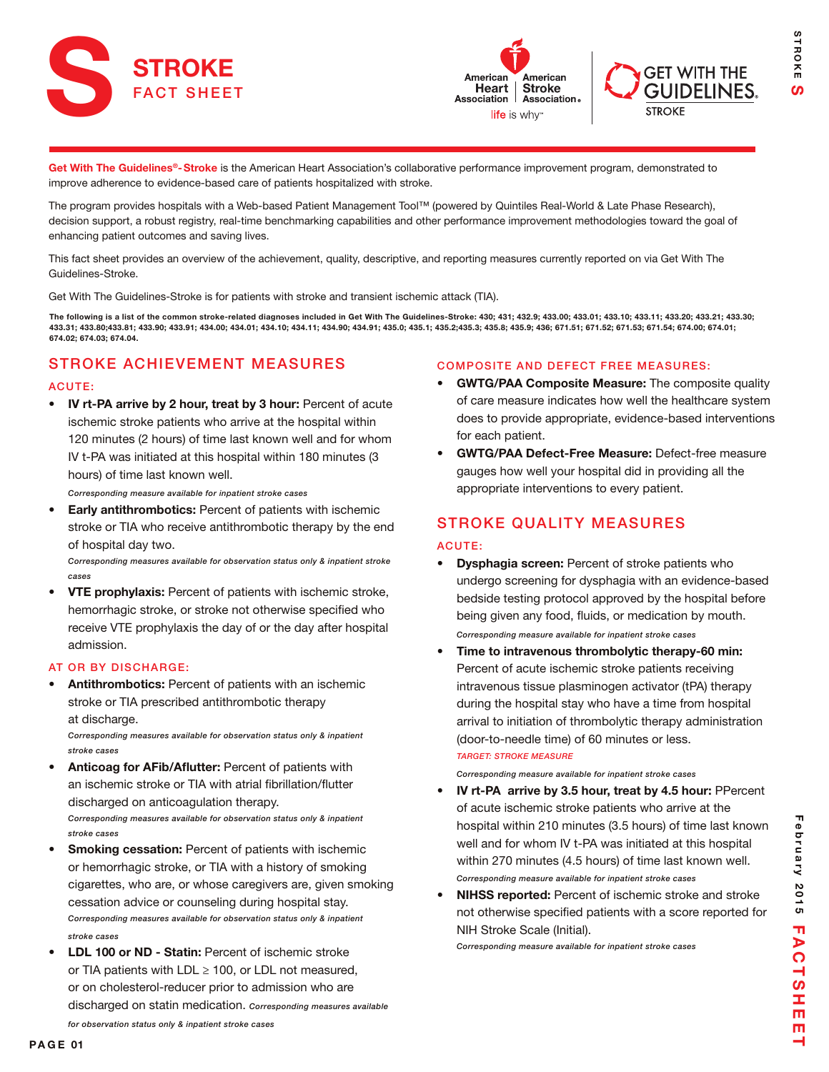





**STROKE** S

STROKE

Get With The Guidelines®-Stroke is the American Heart Association's collaborative performance improvement program, demonstrated to improve adherence to evidence-based care of patients hospitalized with stroke.

The program provides hospitals with a Web-based Patient Management Tool™ (powered by Quintiles Real-World & Late Phase Research), decision support, a robust registry, real-time benchmarking capabilities and other performance improvement methodologies toward the goal of enhancing patient outcomes and saving lives.

This fact sheet provides an overview of the achievement, quality, descriptive, and reporting measures currently reported on via Get With The Guidelines-Stroke.

Get With The Guidelines-Stroke is for patients with stroke and transient ischemic attack (TIA).

The following is a list of the common stroke-related diagnoses included in Get With The Guidelines-Stroke: 430; 431; 432.9; 433.00; 433.01; 433.10; 433.11; 433.20; 433.21; 433.30; 433.31; 433.80;433.81; 433.90; 433.91; 434.00; 434.01; 434.10; 434.11; 434.90; 434.91; 435.0; 435.1; 435.2;435.3; 435.8; 435.9; 436; 671.51; 671.52; 671.53; 671.54; 674.00; 674.01; 674.02; 674.03; 674.04.

# STROKE ACHIEVEMENT MEASURES

#### ACUTE:

IV rt-PA arrive by 2 hour, treat by 3 hour: Percent of acute ischemic stroke patients who arrive at the hospital within 120 minutes (2 hours) of time last known well and for whom IV t-PA was initiated at this hospital within 180 minutes (3 hours) of time last known well.

*Corresponding measure available for inpatient stroke cases*

**Early antithrombotics:** Percent of patients with ischemic stroke or TIA who receive antithrombotic therapy by the end of hospital day two.

*Corresponding measures available for observation status only & inpatient stroke cases*

• VTE prophylaxis: Percent of patients with ischemic stroke, hemorrhagic stroke, or stroke not otherwise specified who receive VTE prophylaxis the day of or the day after hospital admission.

#### AT OR BY DISCHARGE:

Antithrombotics: Percent of patients with an ischemic stroke or TIA prescribed antithrombotic therapy at discharge.

*Corresponding measures available for observation status only & inpatient stroke cases*

- Anticoag for AFib/Aflutter: Percent of patients with an ischemic stroke or TIA with atrial fibrillation/flutter discharged on anticoagulation therapy. *Corresponding measures available for observation status only & inpatient stroke cases*
- Smoking cessation: Percent of patients with ischemic or hemorrhagic stroke, or TIA with a history of smoking cigarettes, who are, or whose caregivers are, given smoking cessation advice or counseling during hospital stay. *Corresponding measures available for observation status only & inpatient stroke cases*
- LDL 100 or ND Statin: Percent of ischemic stroke or TIA patients with LDL  $\geq$  100, or LDL not measured, or on cholesterol-reducer prior to admission who are discharged on statin medication. *Corresponding measures available*

#### COMPOSITE AND DEFECT FREE MEASURES:

- GWTG/PAA Composite Measure: The composite quality of care measure indicates how well the healthcare system does to provide appropriate, evidence-based interventions for each patient.
- GWTG/PAA Defect-Free Measure: Defect-free measure gauges how well your hospital did in providing all the appropriate interventions to every patient.

### STROKE QUALITY MEASURES

#### ACUTE:

- Dysphagia screen: Percent of stroke patients who undergo screening for dysphagia with an evidence-based bedside testing protocol approved by the hospital before being given any food, fluids, or medication by mouth. *Corresponding measure available for inpatient stroke cases*
- Time to intravenous thrombolytic therapy-60 min: Percent of acute ischemic stroke patients receiving intravenous tissue plasminogen activator (tPA) therapy during the hospital stay who have a time from hospital arrival to initiation of thrombolytic therapy administration (door-to-needle time) of 60 minutes or less. *TARGET: STROKE MEASURE*

*Corresponding measure available for inpatient stroke cases*

- IV rt-PA arrive by 3.5 hour, treat by 4.5 hour: PPercent of acute ischemic stroke patients who arrive at the hospital within 210 minutes (3.5 hours) of time last known well and for whom IV t-PA was initiated at this hospital within 270 minutes (4.5 hours) of time last known well. *Corresponding measure available for inpatient stroke cases*
- NIHSS reported: Percent of ischemic stroke and stroke not otherwise specified patients with a score reported for NIH Stroke Scale (Initial).

*Corresponding measure available for inpatient stroke cases*

*for observation status only & inpatient stroke cases*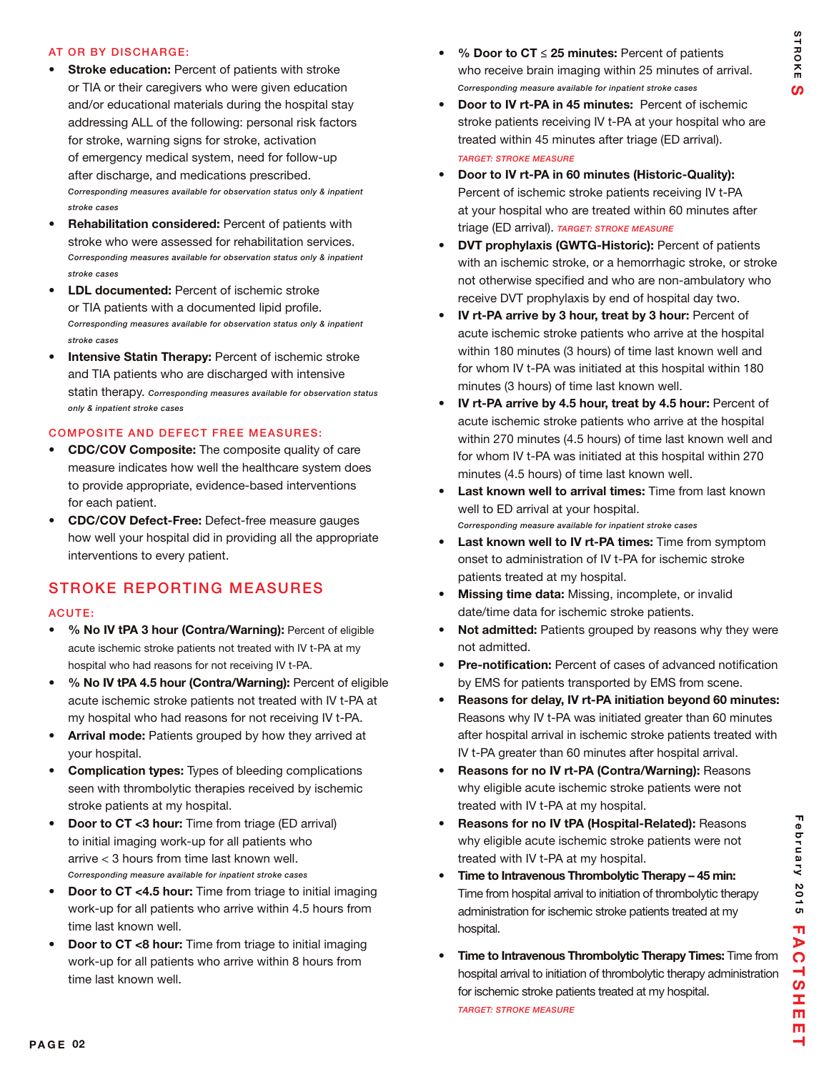#### AT OR BY DISCHARGE:

- **Stroke education: Percent of patients with stroke** or TIA or their caregivers who were given education and/or educational materials during the hospital stay addressing ALL of the following: personal risk factors for stroke, warning signs for stroke, activation of emergency medical system, need for follow-up after discharge, and medications prescribed. *Corresponding measures available for observation status only & inpatient stroke cases*
- Rehabilitation considered: Percent of patients with stroke who were assessed for rehabilitation services. *Corresponding measures available for observation status only & inpatient stroke cases*
- **LDL documented:** Percent of ischemic stroke or TIA patients with a documented lipid profile. *Corresponding measures available for observation status only & inpatient stroke cases*
- Intensive Statin Therapy: Percent of ischemic stroke and TIA patients who are discharged with intensive statin therapy. *Corresponding measures available for observation status only & inpatient stroke cases*

#### COMPOSITE AND DEFECT FREE MEASURES:

- CDC/COV Composite: The composite quality of care measure indicates how well the healthcare system does to provide appropriate, evidence-based interventions for each patient.
- CDC/COV Defect-Free: Defect-free measure gauges how well your hospital did in providing all the appropriate interventions to every patient.

## STROKE REPORTING MEASURES

#### ACUTE:

- • % No IV tPA 3 hour (Contra/Warning): Percent of eligible acute ischemic stroke patients not treated with IV t-PA at my hospital who had reasons for not receiving IV t-PA.
- % No IV tPA 4.5 hour (Contra/Warning): Percent of eligible acute ischemic stroke patients not treated with IV t-PA at my hospital who had reasons for not receiving IV t-PA.
- Arrival mode: Patients grouped by how they arrived at your hospital.
- **Complication types:** Types of bleeding complications seen with thrombolytic therapies received by ischemic stroke patients at my hospital.
- Door to CT <3 hour: Time from triage (ED arrival) to initial imaging work-up for all patients who arrive < 3 hours from time last known well. *Corresponding measure available for inpatient stroke cases*
- **Door to CT <4.5 hour:** Time from triage to initial imaging work-up for all patients who arrive within 4.5 hours from time last known well.
- **Door to CT <8 hour:** Time from triage to initial imaging work-up for all patients who arrive within 8 hours from time last known well.
- % Door to  $CT \leq 25$  minutes: Percent of patients who receive brain imaging within 25 minutes of arrival. *Corresponding measure available for inpatient stroke cases*
- Door to IV rt-PA in 45 minutes: Percent of ischemic stroke patients receiving IV t-PA at your hospital who are treated within 45 minutes after triage (ED arrival). *TARGET: STROKE MEASURE*
- Door to IV rt-PA in 60 minutes (Historic-Quality): Percent of ischemic stroke patients receiving IV t-PA at your hospital who are treated within 60 minutes after triage (ED arrival). *TARGET: STROKE MEASURE*
- DVT prophylaxis (GWTG-Historic): Percent of patients with an ischemic stroke, or a hemorrhagic stroke, or stroke not otherwise specified and who are non-ambulatory who receive DVT prophylaxis by end of hospital day two.
- IV rt-PA arrive by 3 hour, treat by 3 hour: Percent of acute ischemic stroke patients who arrive at the hospital within 180 minutes (3 hours) of time last known well and for whom IV t-PA was initiated at this hospital within 180 minutes (3 hours) of time last known well.
- IV rt-PA arrive by 4.5 hour, treat by 4.5 hour: Percent of acute ischemic stroke patients who arrive at the hospital within 270 minutes (4.5 hours) of time last known well and for whom IV t-PA was initiated at this hospital within 270 minutes (4.5 hours) of time last known well.
- Last known well to arrival times: Time from last known well to ED arrival at your hospital. *Corresponding measure available for inpatient stroke cases*
- Last known well to IV rt-PA times: Time from symptom onset to administration of IV t-PA for ischemic stroke patients treated at my hospital.
- Missing time data: Missing, incomplete, or invalid date/time data for ischemic stroke patients.
- Not admitted: Patients grouped by reasons why they were not admitted.
- **Pre-notification:** Percent of cases of advanced notification by EMS for patients transported by EMS from scene.
- Reasons for delay, IV rt-PA initiation beyond 60 minutes: Reasons why IV t-PA was initiated greater than 60 minutes after hospital arrival in ischemic stroke patients treated with IV t-PA greater than 60 minutes after hospital arrival.
- Reasons for no IV rt-PA (Contra/Warning): Reasons why eligible acute ischemic stroke patients were not treated with IV t-PA at my hospital.
- • Reasons for no IV tPA (Hospital-Related): Reasons why eligible acute ischemic stroke patients were not treated with IV t-PA at my hospital.
- Time to Intravenous Thrombolytic Therapy 45 min: Time from hospital arrival to initiation of thrombolytic therapy administration for ischemic stroke patients treated at my hospital.
- Time to Intravenous Thrombolytic Therapy Times: Time from hospital arrival to initiation of thrombolytic therapy administration for ischemic stroke patients treated at my hospital. *TARGET: STROKE MEASURE*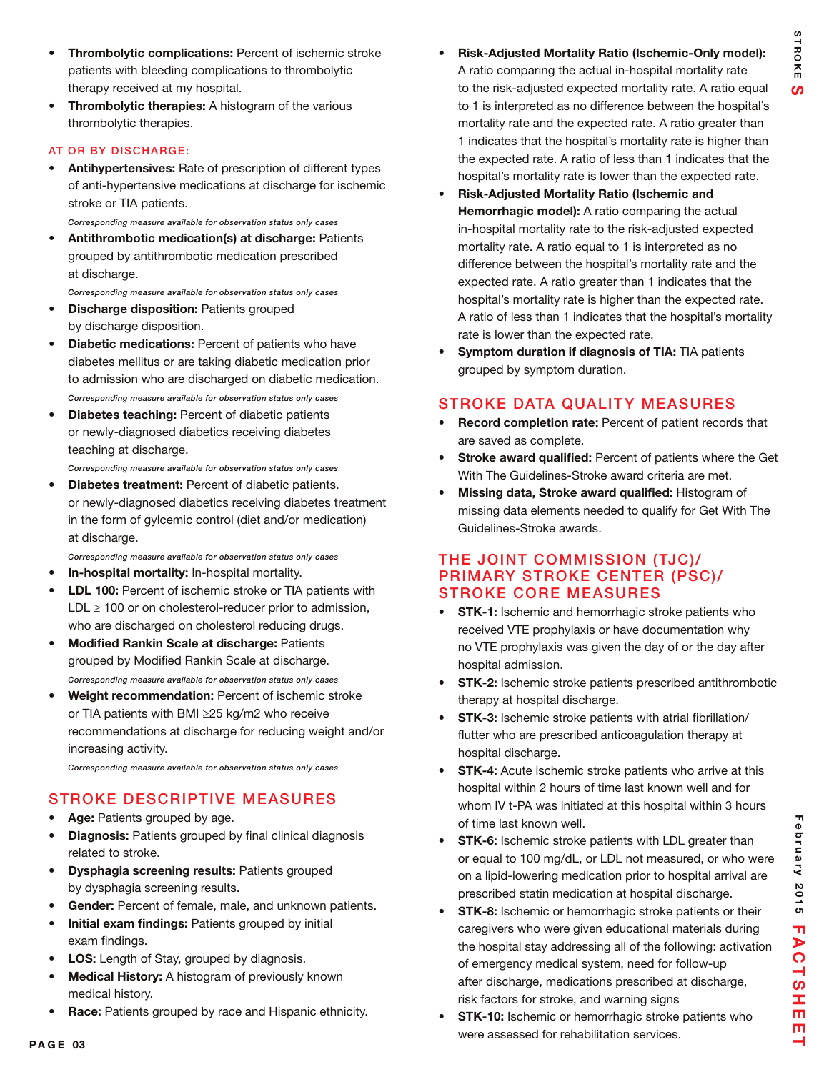- Thrombolytic complications: Percent of ischemic stroke patients with bleeding complications to thrombolytic therapy received at my hospital.
- Thrombolytic therapies: A histogram of the various thrombolytic therapies.

#### AT OR BY DISCHARGE:

Antihypertensives: Rate of prescription of different types of anti-hypertensive medications at discharge for ischemic stroke or TIA patients.

*Corresponding measure available for observation status only cases*

Antithrombotic medication(s) at discharge: Patients grouped by antithrombotic medication prescribed at discharge.

*Corresponding measure available for observation status only cases*

- **Discharge disposition: Patients grouped** by discharge disposition.
- Diabetic medications: Percent of patients who have diabetes mellitus or are taking diabetic medication prior to admission who are discharged on diabetic medication. *Corresponding measure available for observation status only cases*
- **Diabetes teaching: Percent of diabetic patients** or newly-diagnosed diabetics receiving diabetes teaching at discharge.
- *Corresponding measure available for observation status only cases*
- Diabetes treatment: Percent of diabetic patients. or newly-diagnosed diabetics receiving diabetes treatment in the form of gylcemic control (diet and/or medication) at discharge.

*Corresponding measure available for observation status only cases*

- In-hospital mortality: In-hospital mortality.
- **LDL 100:** Percent of ischemic stroke or TIA patients with LDL  $\geq$  100 or on cholesterol-reducer prior to admission, who are discharged on cholesterol reducing drugs.
- **Modified Rankin Scale at discharge: Patients** grouped by Modified Rankin Scale at discharge. *Corresponding measure available for observation status only cases*
- **Weight recommendation:** Percent of ischemic stroke or TIA patients with BMI ≥25 kg/m2 who receive recommendations at discharge for reducing weight and/or increasing activity.

*Corresponding measure available for observation status only cases*

## STROKE DESCRIPTIVE MEASURES

- Age: Patients grouped by age.
- Diagnosis: Patients grouped by final clinical diagnosis related to stroke.
- **Dysphagia screening results: Patients grouped** by dysphagia screening results.
- Gender: Percent of female, male, and unknown patients.
- Initial exam findings: Patients grouped by initial exam findings.
- LOS: Length of Stay, grouped by diagnosis.
- Medical History: A histogram of previously known medical history.
- Race: Patients grouped by race and Hispanic ethnicity.
- Risk-Adjusted Mortality Ratio (Ischemic-Only model): A ratio comparing the actual in-hospital mortality rate to the risk-adjusted expected mortality rate. A ratio equal to 1 is interpreted as no difference between the hospital's mortality rate and the expected rate. A ratio greater than 1 indicates that the hospital's mortality rate is higher than the expected rate. A ratio of less than 1 indicates that the hospital's mortality rate is lower than the expected rate.
- Risk-Adjusted Mortality Ratio (Ischemic and Hemorrhagic model): A ratio comparing the actual in-hospital mortality rate to the risk-adjusted expected mortality rate. A ratio equal to 1 is interpreted as no difference between the hospital's mortality rate and the expected rate. A ratio greater than 1 indicates that the hospital's mortality rate is higher than the expected rate. A ratio of less than 1 indicates that the hospital's mortality rate is lower than the expected rate.
- Symptom duration if diagnosis of TIA: TIA patients grouped by symptom duration.

## STROKE DATA QUALITY MEASURES

- Record completion rate: Percent of patient records that are saved as complete.
- Stroke award qualified: Percent of patients where the Get With The Guidelines-Stroke award criteria are met.
- Missing data, Stroke award qualified: Histogram of missing data elements needed to qualify for Get With The Guidelines-Stroke awards.

### THE JOINT COMMISSION (TJC)/ PRIMARY STROKE CENTER (PSC)/ STROKE CORE MEASURES

- STK-1: Ischemic and hemorrhagic stroke patients who received VTE prophylaxis or have documentation why no VTE prophylaxis was given the day of or the day after hospital admission.
- **STK-2:** Ischemic stroke patients prescribed antithrombotic therapy at hospital discharge.
- STK-3: Ischemic stroke patients with atrial fibrillation/ flutter who are prescribed anticoagulation therapy at hospital discharge.
- STK-4: Acute ischemic stroke patients who arrive at this hospital within 2 hours of time last known well and for whom IV t-PA was initiated at this hospital within 3 hours of time last known well.
- STK-6: Ischemic stroke patients with LDL greater than or equal to 100 mg/dL, or LDL not measured, or who were on a lipid-lowering medication prior to hospital arrival are prescribed statin medication at hospital discharge.
- **STK-8:** Ischemic or hemorrhagic stroke patients or their caregivers who were given educational materials during the hospital stay addressing all of the following: activation of emergency medical system, need for follow-up after discharge, medications prescribed at discharge, risk factors for stroke, and warning signs
- **STK-10:** Ischemic or hemorrhagic stroke patients who were assessed for rehabilitation services.